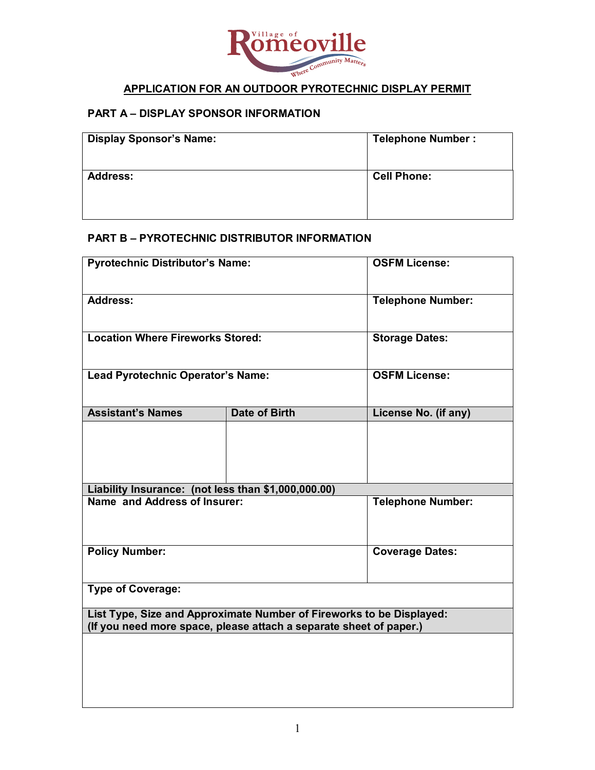

## **APPLICATION FOR AN OUTDOOR PYROTECHNIC DISPLAY PERMIT**

#### **PART A – DISPLAY SPONSOR INFORMATION**

| <b>Display Sponsor's Name:</b> | <b>Telephone Number:</b> |
|--------------------------------|--------------------------|
| <b>Address:</b>                | <b>Cell Phone:</b>       |

## **PART B – PYROTECHNIC DISTRIBUTOR INFORMATION**

| <b>Pyrotechnic Distributor's Name:</b>                                                                                                     |                      | <b>OSFM License:</b>     |  |
|--------------------------------------------------------------------------------------------------------------------------------------------|----------------------|--------------------------|--|
| <b>Address:</b>                                                                                                                            |                      | <b>Telephone Number:</b> |  |
| <b>Location Where Fireworks Stored:</b>                                                                                                    |                      | <b>Storage Dates:</b>    |  |
| Lead Pyrotechnic Operator's Name:                                                                                                          |                      | <b>OSFM License:</b>     |  |
| <b>Assistant's Names</b>                                                                                                                   | <b>Date of Birth</b> | License No. (if any)     |  |
|                                                                                                                                            |                      |                          |  |
| Liability Insurance: (not less than \$1,000,000.00)                                                                                        |                      |                          |  |
| Name and Address of Insurer:                                                                                                               |                      | <b>Telephone Number:</b> |  |
| <b>Policy Number:</b>                                                                                                                      |                      | <b>Coverage Dates:</b>   |  |
| <b>Type of Coverage:</b>                                                                                                                   |                      |                          |  |
| List Type, Size and Approximate Number of Fireworks to be Displayed:<br>(If you need more space, please attach a separate sheet of paper.) |                      |                          |  |
|                                                                                                                                            |                      |                          |  |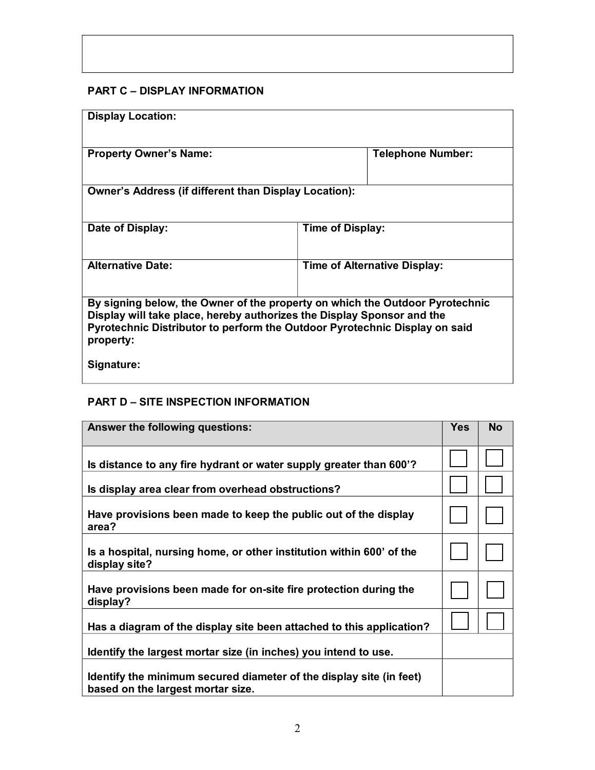# **PART C – DISPLAY INFORMATION**

| <b>Display Location:</b>                                                                                                                                                                                                                          |                                     |  |  |
|---------------------------------------------------------------------------------------------------------------------------------------------------------------------------------------------------------------------------------------------------|-------------------------------------|--|--|
| <b>Property Owner's Name:</b>                                                                                                                                                                                                                     | <b>Telephone Number:</b>            |  |  |
| <b>Owner's Address (if different than Display Location):</b>                                                                                                                                                                                      |                                     |  |  |
| Date of Display:                                                                                                                                                                                                                                  | Time of Display:                    |  |  |
| <b>Alternative Date:</b>                                                                                                                                                                                                                          | <b>Time of Alternative Display:</b> |  |  |
| By signing below, the Owner of the property on which the Outdoor Pyrotechnic<br>Display will take place, hereby authorizes the Display Sponsor and the<br>Pyrotechnic Distributor to perform the Outdoor Pyrotechnic Display on said<br>property: |                                     |  |  |
| Signature:                                                                                                                                                                                                                                        |                                     |  |  |

## **PART D – SITE INSPECTION INFORMATION**

| Answer the following questions:                                                                          | Yes | <b>No</b> |
|----------------------------------------------------------------------------------------------------------|-----|-----------|
| Is distance to any fire hydrant or water supply greater than 600'?                                       |     |           |
| Is display area clear from overhead obstructions?                                                        |     |           |
| Have provisions been made to keep the public out of the display<br>area?                                 |     |           |
| Is a hospital, nursing home, or other institution within 600' of the<br>display site?                    |     |           |
| Have provisions been made for on-site fire protection during the<br>display?                             |     |           |
| Has a diagram of the display site been attached to this application?                                     |     |           |
| Identify the largest mortar size (in inches) you intend to use.                                          |     |           |
| Identify the minimum secured diameter of the display site (in feet)<br>based on the largest mortar size. |     |           |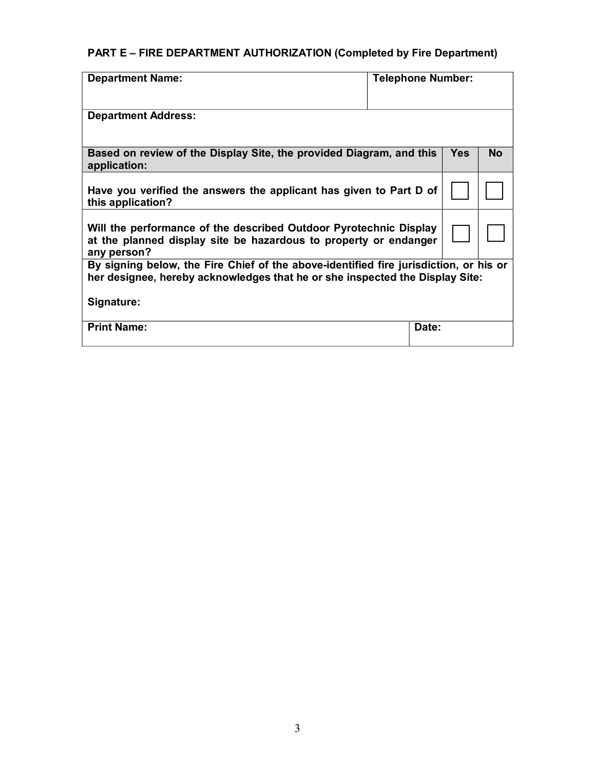# **PART E – FIRE DEPARTMENT AUTHORIZATION (Completed by Fire Department)**

| <b>Department Name:</b>                                                                                                                                               | <b>Telephone Number:</b> |            |           |
|-----------------------------------------------------------------------------------------------------------------------------------------------------------------------|--------------------------|------------|-----------|
| <b>Department Address:</b>                                                                                                                                            |                          |            |           |
| Based on review of the Display Site, the provided Diagram, and this<br>application:                                                                                   |                          | <b>Yes</b> | <b>No</b> |
| Have you verified the answers the applicant has given to Part D of<br>this application?                                                                               |                          |            |           |
| Will the performance of the described Outdoor Pyrotechnic Display<br>at the planned display site be hazardous to property or endanger<br>any person?                  |                          |            |           |
| By signing below, the Fire Chief of the above-identified fire jurisdiction, or his or<br>her designee, hereby acknowledges that he or she inspected the Display Site: |                          |            |           |
| Signature:                                                                                                                                                            |                          |            |           |
| <b>Print Name:</b>                                                                                                                                                    | Date:                    |            |           |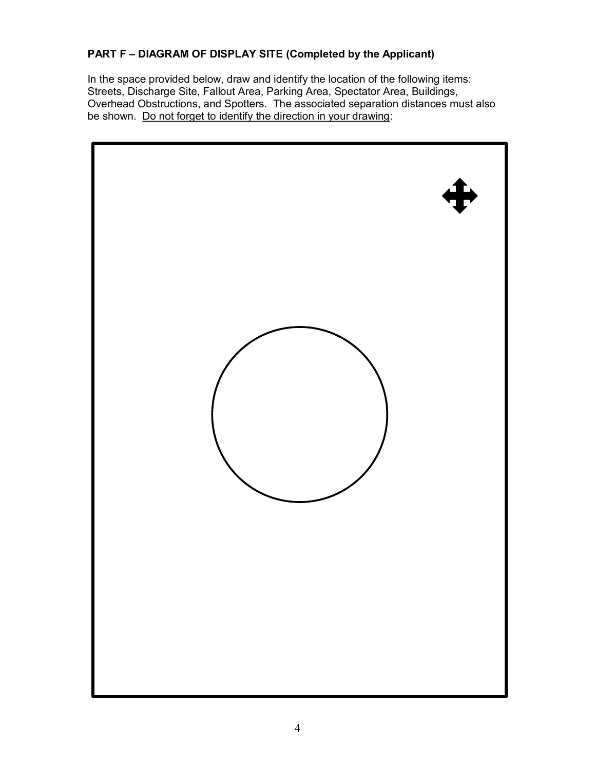### **PART F – DIAGRAM OF DISPLAY SITE (Completed by the Applicant)**

In the space provided below, draw and identify the location of the following items: Streets, Discharge Site, Fallout Area, Parking Area, Spectator Area, Buildings, Overhead Obstructions, and Spotters. The associated separation distances must also be shown. Do not forget to identify the direction in your drawing: